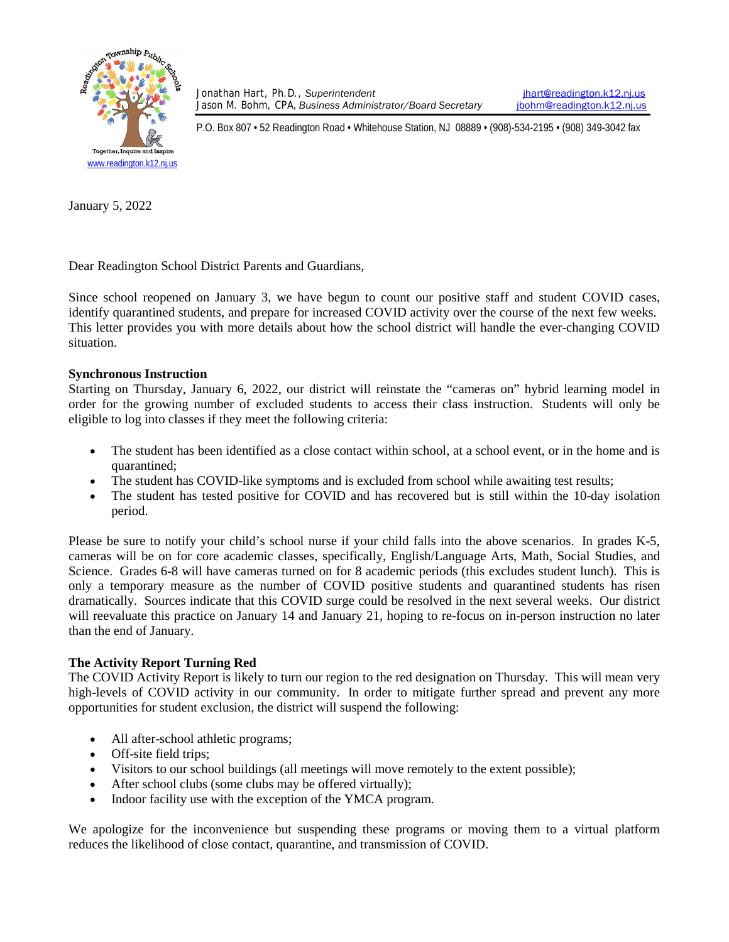

Jonathan Hart, Ph.D., Superintendent **intervally and the set of the set of the set of the set of the Solom Cha**<br>Jason M. Bohm, CPA, Business Administrator/Board Secretary **in the Solom @readington.k12.nj.us** Jason M. Bohm, CPA, Business Administrator/Board Secretary

P.O. Box 807 • 52 Readington Road • Whitehouse Station, NJ 08889 • (908)-534-2195 • (908) 349-3042 fax

January 5, 2022

Dear Readington School District Parents and Guardians,

Since school reopened on January 3, we have begun to count our positive staff and student COVID cases, identify quarantined students, and prepare for increased COVID activity over the course of the next few weeks. This letter provides you with more details about how the school district will handle the ever-changing COVID situation.

## **Synchronous Instruction**

Starting on Thursday, January 6, 2022, our district will reinstate the "cameras on" hybrid learning model in order for the growing number of excluded students to access their class instruction. Students will only be eligible to log into classes if they meet the following criteria:

- The student has been identified as a close contact within school, at a school event, or in the home and is quarantined;
- The student has COVID-like symptoms and is excluded from school while awaiting test results;
- The student has tested positive for COVID and has recovered but is still within the 10-day isolation period.

Please be sure to notify your child's school nurse if your child falls into the above scenarios. In grades K-5, cameras will be on for core academic classes, specifically, English/Language Arts, Math, Social Studies, and Science. Grades 6-8 will have cameras turned on for 8 academic periods (this excludes student lunch). This is only a temporary measure as the number of COVID positive students and quarantined students has risen dramatically. Sources indicate that this COVID surge could be resolved in the next several weeks. Our district will reevaluate this practice on January 14 and January 21, hoping to re-focus on in-person instruction no later than the end of January.

## **The Activity Report Turning Red**

The COVID Activity Report is likely to turn our region to the red designation on Thursday. This will mean very high-levels of COVID activity in our community. In order to mitigate further spread and prevent any more opportunities for student exclusion, the district will suspend the following:

- All after-school athletic programs;
- Off-site field trips:
- Visitors to our school buildings (all meetings will move remotely to the extent possible);
- After school clubs (some clubs may be offered virtually);
- Indoor facility use with the exception of the YMCA program.

We apologize for the inconvenience but suspending these programs or moving them to a virtual platform reduces the likelihood of close contact, quarantine, and transmission of COVID.